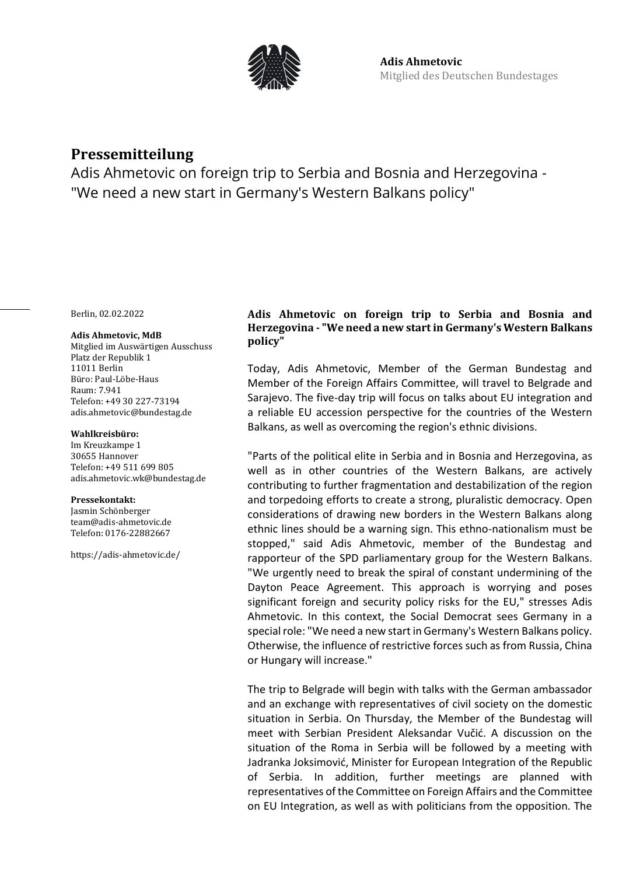

# **Pressemitteilung**

Adis Ahmetovic on foreign trip to Serbia and Bosnia and Herzegovina - "We need a new start in Germany's Western Balkans policy"

Berlin, 02.02.2022

#### **Adis Ahmetovic, MdB**

Mitglied im Auswärtigen Ausschuss Platz der Republik 1 11011 Berlin Büro: Paul-Löbe-Haus Raum: 7.941 Telefon: +49 30 227-73194 adis.ahmetovic@bundestag.de

### **Wahlkreisbüro:**

Im Kreuzkampe 1 30655 Hannover Telefon: +49 511 699 805 [adis.ahmetovic.wk@bundestag.de](mailto:adis.ahmetovic.wk@bundestag.de)

#### **Pressekontakt:**

Jasmin Schönberger team@adis-ahmetovic.de Telefon[: 0176-22882667](mailto:adis.ahmetovic.wk@bundestag.de)

<https://adis-ahmetovic.de/>

## **Adis Ahmetovic on foreign trip to Serbia and Bosnia and Herzegovina - "We need a new start in Germany's Western Balkans policy"**

Today, Adis Ahmetovic, Member of the German Bundestag and Member of the Foreign Affairs Committee, will travel to Belgrade and Sarajevo. The five-day trip will focus on talks about EU integration and a reliable EU accession perspective for the countries of the Western Balkans, as well as overcoming the region's ethnic divisions.

"Parts of the political elite in Serbia and in Bosnia and Herzegovina, as well as in other countries of the Western Balkans, are actively contributing to further fragmentation and destabilization of the region and torpedoing efforts to create a strong, pluralistic democracy. Open considerations of drawing new borders in the Western Balkans along ethnic lines should be a warning sign. This ethno-nationalism must be stopped," said Adis Ahmetovic, member of the Bundestag and rapporteur of the SPD parliamentary group for the Western Balkans. "We urgently need to break the spiral of constant undermining of the Dayton Peace Agreement. This approach is worrying and poses significant foreign and security policy risks for the EU," stresses Adis Ahmetovic. In this context, the Social Democrat sees Germany in a special role: "We need a new start in Germany's Western Balkans policy. Otherwise, the influence of restrictive forces such as from Russia, China or Hungary will increase."

The trip to Belgrade will begin with talks with the German ambassador and an exchange with representatives of civil society on the domestic situation in Serbia. On Thursday, the Member of the Bundestag will meet with Serbian President Aleksandar Vučić. A discussion on the situation of the Roma in Serbia will be followed by a meeting with Jadranka Joksimović, Minister for European Integration of the Republic of Serbia. In addition, further meetings are planned with representatives of the Committee on Foreign Affairs and the Committee on EU Integration, as well as with politicians from the opposition. The